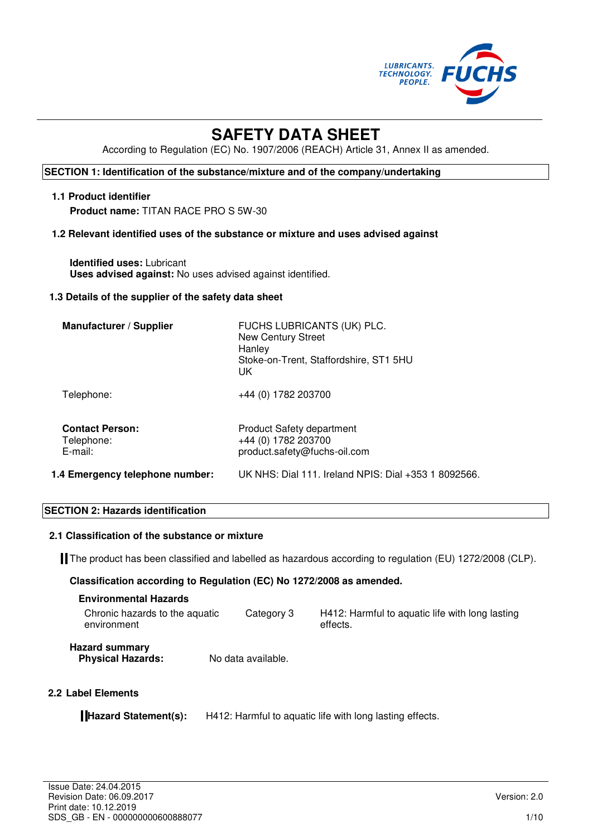

# **SAFETY DATA SHEET**

According to Regulation (EC) No. 1907/2006 (REACH) Article 31, Annex II as amended.

# **SECTION 1: Identification of the substance/mixture and of the company/undertaking**

## **1.1 Product identifier**

**Product name:** TITAN RACE PRO S 5W-30

# **1.2 Relevant identified uses of the substance or mixture and uses advised against**

**Identified uses:** Lubricant **Uses advised against:** No uses advised against identified.

#### **1.3 Details of the supplier of the safety data sheet**

| <b>Manufacturer / Supplier</b>                     | FUCHS LUBRICANTS (UK) PLC.<br><b>New Century Street</b><br>Hanley<br>Stoke-on-Trent, Staffordshire, ST1 5HU<br>UK |
|----------------------------------------------------|-------------------------------------------------------------------------------------------------------------------|
| Telephone:                                         | +44 (0) 1782 203700                                                                                               |
| <b>Contact Person:</b><br>Telephone:<br>$E$ -mail: | <b>Product Safety department</b><br>+44 (0) 1782 203700<br>product.safety@fuchs-oil.com                           |
| 1.4 Emergency telephone number:                    | UK NHS: Dial 111. Ireland NPIS: Dial +353 1 8092566.                                                              |

#### **SECTION 2: Hazards identification**

#### **2.1 Classification of the substance or mixture**

The product has been classified and labelled as hazardous according to regulation (EU) 1272/2008 (CLP).

#### **Classification according to Regulation (EC) No 1272/2008 as amended.**

| <b>Environmental Hazards</b>                      |                    |                                                             |
|---------------------------------------------------|--------------------|-------------------------------------------------------------|
| Chronic hazards to the aquatic<br>environment     | Category 3         | H412: Harmful to aguatic life with long lasting<br>effects. |
| <b>Hazard summary</b><br><b>Physical Hazards:</b> | No data available. |                                                             |

# **2.2 Label Elements**

**Hazard Statement(s):** H412: Harmful to aquatic life with long lasting effects.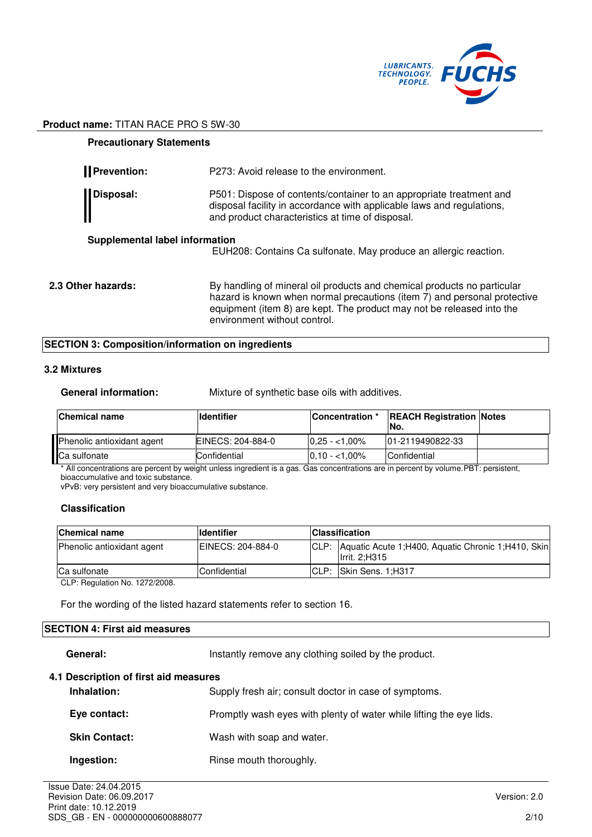

| <b>Precautionary Statements</b>       |                                                                                                                                                                                                                                                              |
|---------------------------------------|--------------------------------------------------------------------------------------------------------------------------------------------------------------------------------------------------------------------------------------------------------------|
| <b>I</b> Prevention:                  | P273: Avoid release to the environment.                                                                                                                                                                                                                      |
| Disposal:                             | P501: Dispose of contents/container to an appropriate treatment and<br>disposal facility in accordance with applicable laws and regulations,<br>and product characteristics at time of disposal.                                                             |
| <b>Supplemental label information</b> | EUH208: Contains Ca sulfonate. May produce an allergic reaction.                                                                                                                                                                                             |
| 2.3 Other hazards:                    | By handling of mineral oil products and chemical products no particular<br>hazard is known when normal precautions (item 7) and personal protective<br>equipment (item 8) are kept. The product may not be released into the<br>environment without control. |

# **SECTION 3: Composition/information on ingredients**

# **3.2 Mixtures**

**General information:** Mixture of synthetic base oils with additives.

| <b>Chemical name</b>       | <b>Ildentifier</b>        | <b>Concentration</b> * | <b>REACH Registration Notes</b><br>INo. |  |
|----------------------------|---------------------------|------------------------|-----------------------------------------|--|
| Phenolic antioxidant agent | <b>IEINECS: 204-884-0</b> | $10.25 - 1.00\%$       | 101-2119490822-33                       |  |
| Ca sulfonate               | <b>Confidential</b>       | $0.10 - 1.00\%$        | Confidential                            |  |

\* All concentrations are percent by weight unless ingredient is a gas. Gas concentrations are in percent by volume.PBT: persistent, bioaccumulative and toxic substance.

vPvB: very persistent and very bioaccumulative substance.

# **Classification**

| <b>Chemical name</b>       | <b>Identifier</b> | <b>Classification</b> |                                                                              |
|----------------------------|-------------------|-----------------------|------------------------------------------------------------------------------|
| Phenolic antioxidant agent | EINECS: 204-884-0 | ICLP:                 | Aquatic Acute 1; H400, Aquatic Chronic 1; H410, Skin<br><b>Irrit. 2:H315</b> |
| <b>Ca sulfonate</b>        | Confidential      | CLP:                  | Skin Sens. 1:H317                                                            |

CLP: Regulation No. 1272/2008.

For the wording of the listed hazard statements refer to section 16.

# **SECTION 4: First aid measures**

General: **Instantly remove any clothing soiled by the product.** 

#### **4.1 Description of first aid measures**

| Inhalation:          | Supply fresh air; consult doctor in case of symptoms.               |
|----------------------|---------------------------------------------------------------------|
| Eye contact:         | Promptly wash eyes with plenty of water while lifting the eye lids. |
| <b>Skin Contact:</b> | Wash with soap and water.                                           |
| Ingestion:           | Rinse mouth thoroughly.                                             |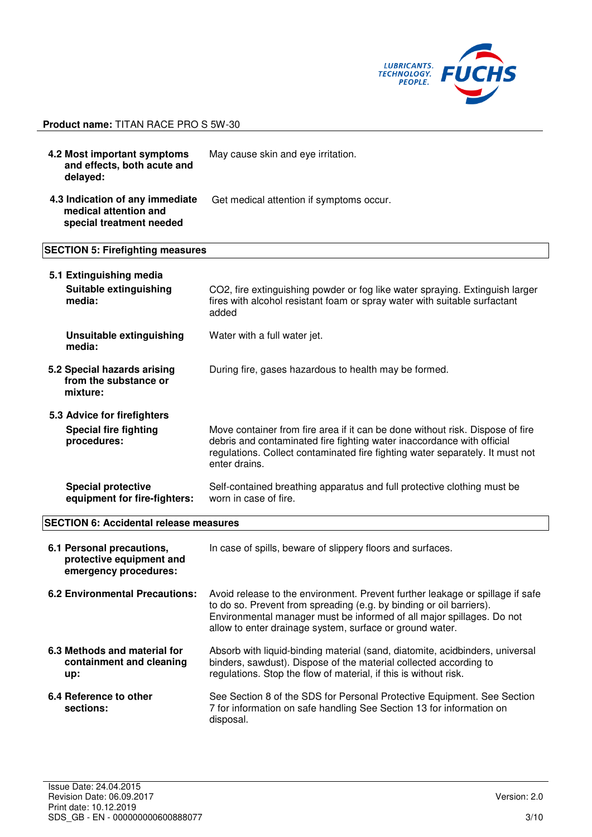

**4.2 Most important symptoms and effects, both acute and delayed:**  May cause skin and eye irritation. **4.3 Indication of any immediate medical attention and special treatment needed** Get medical attention if symptoms occur. **SECTION 5: Firefighting measures** 

| 5.1 Extinguishing media                                                        |                                                                                                                                                                                                                                                                                           |
|--------------------------------------------------------------------------------|-------------------------------------------------------------------------------------------------------------------------------------------------------------------------------------------------------------------------------------------------------------------------------------------|
| Suitable extinguishing<br>media:                                               | CO2, fire extinguishing powder or fog like water spraying. Extinguish larger<br>fires with alcohol resistant foam or spray water with suitable surfactant<br>added                                                                                                                        |
| Unsuitable extinguishing<br>media:                                             | Water with a full water jet.                                                                                                                                                                                                                                                              |
| 5.2 Special hazards arising<br>from the substance or<br>mixture:               | During fire, gases hazardous to health may be formed.                                                                                                                                                                                                                                     |
| 5.3 Advice for firefighters                                                    |                                                                                                                                                                                                                                                                                           |
| <b>Special fire fighting</b><br>procedures:                                    | Move container from fire area if it can be done without risk. Dispose of fire<br>debris and contaminated fire fighting water inaccordance with official<br>regulations. Collect contaminated fire fighting water separately. It must not<br>enter drains.                                 |
| <b>Special protective</b><br>equipment for fire-fighters:                      | Self-contained breathing apparatus and full protective clothing must be<br>worn in case of fire.                                                                                                                                                                                          |
| <b>SECTION 6: Accidental release measures</b>                                  |                                                                                                                                                                                                                                                                                           |
| 6.1 Personal precautions,<br>protective equipment and<br>emergency procedures: | In case of spills, beware of slippery floors and surfaces.                                                                                                                                                                                                                                |
| <b>6.2 Environmental Precautions:</b>                                          | Avoid release to the environment. Prevent further leakage or spillage if safe<br>to do so. Prevent from spreading (e.g. by binding or oil barriers).<br>Environmental manager must be informed of all major spillages. Do not<br>allow to enter drainage system, surface or ground water. |

- **6.3 Methods and material for containment and cleaning up:**  Absorb with liquid-binding material (sand, diatomite, acidbinders, universal binders, sawdust). Dispose of the material collected according to regulations. Stop the flow of material, if this is without risk.
- **6.4 Reference to other sections:**  See Section 8 of the SDS for Personal Protective Equipment. See Section 7 for information on safe handling See Section 13 for information on disposal.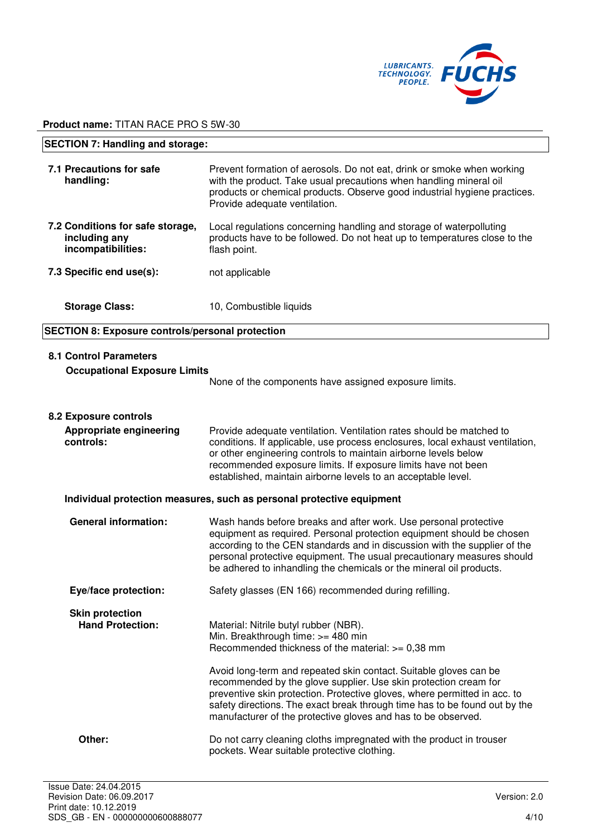

| <b>SECTION 7: Handling and storage:</b>                                     |                                                                                                                                                                                                                                                                                                                                                                                                                                                                                                       |  |
|-----------------------------------------------------------------------------|-------------------------------------------------------------------------------------------------------------------------------------------------------------------------------------------------------------------------------------------------------------------------------------------------------------------------------------------------------------------------------------------------------------------------------------------------------------------------------------------------------|--|
| 7.1 Precautions for safe<br>handling:                                       | Prevent formation of aerosols. Do not eat, drink or smoke when working<br>with the product. Take usual precautions when handling mineral oil<br>products or chemical products. Observe good industrial hygiene practices.<br>Provide adequate ventilation.                                                                                                                                                                                                                                            |  |
| 7.2 Conditions for safe storage,<br>including any<br>incompatibilities:     | Local regulations concerning handling and storage of waterpolluting<br>products have to be followed. Do not heat up to temperatures close to the<br>flash point.                                                                                                                                                                                                                                                                                                                                      |  |
| 7.3 Specific end use(s):                                                    | not applicable                                                                                                                                                                                                                                                                                                                                                                                                                                                                                        |  |
| <b>Storage Class:</b>                                                       | 10, Combustible liquids                                                                                                                                                                                                                                                                                                                                                                                                                                                                               |  |
| <b>SECTION 8: Exposure controls/personal protection</b>                     |                                                                                                                                                                                                                                                                                                                                                                                                                                                                                                       |  |
| <b>8.1 Control Parameters</b><br><b>Occupational Exposure Limits</b>        | None of the components have assigned exposure limits.                                                                                                                                                                                                                                                                                                                                                                                                                                                 |  |
| <b>8.2 Exposure controls</b><br><b>Appropriate engineering</b><br>controls: | Provide adequate ventilation. Ventilation rates should be matched to<br>conditions. If applicable, use process enclosures, local exhaust ventilation,<br>or other engineering controls to maintain airborne levels below<br>recommended exposure limits. If exposure limits have not been<br>established, maintain airborne levels to an acceptable level.                                                                                                                                            |  |
|                                                                             | Individual protection measures, such as personal protective equipment                                                                                                                                                                                                                                                                                                                                                                                                                                 |  |
| <b>General information:</b>                                                 | Wash hands before breaks and after work. Use personal protective<br>equipment as required. Personal protection equipment should be chosen<br>according to the CEN standards and in discussion with the supplier of the<br>personal protective equipment. The usual precautionary measures should<br>be adhered to inhandling the chemicals or the mineral oil products.                                                                                                                               |  |
| Eye/face protection:                                                        | Safety glasses (EN 166) recommended during refilling.                                                                                                                                                                                                                                                                                                                                                                                                                                                 |  |
| <b>Skin protection</b><br><b>Hand Protection:</b>                           | Material: Nitrile butyl rubber (NBR).<br>Min. Breakthrough time: >= 480 min<br>Recommended thickness of the material: >= 0,38 mm<br>Avoid long-term and repeated skin contact. Suitable gloves can be<br>recommended by the glove supplier. Use skin protection cream for<br>preventive skin protection. Protective gloves, where permitted in acc. to<br>safety directions. The exact break through time has to be found out by the<br>manufacturer of the protective gloves and has to be observed. |  |
| Other:                                                                      | Do not carry cleaning cloths impregnated with the product in trouser<br>pockets. Wear suitable protective clothing.                                                                                                                                                                                                                                                                                                                                                                                   |  |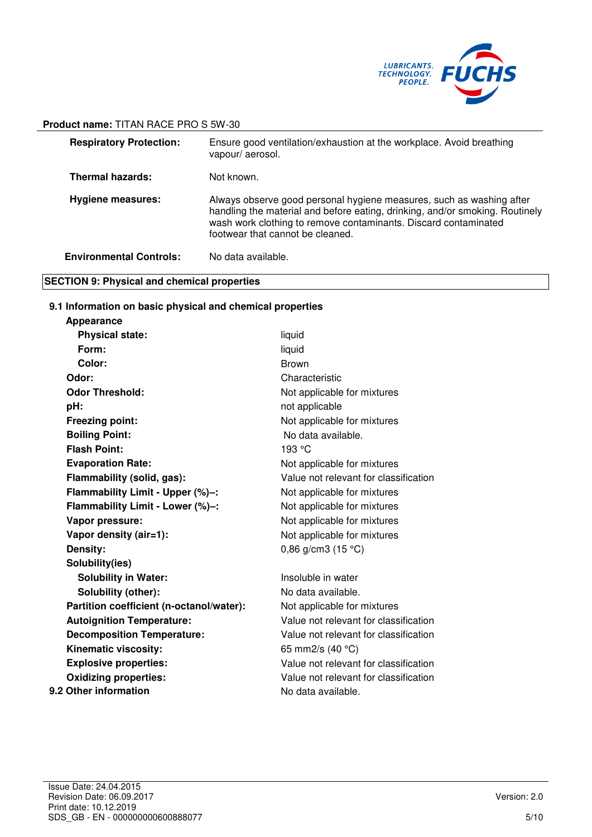

| <b>Respiratory Protection:</b> | Ensure good ventilation/exhaustion at the workplace. Avoid breathing<br>vapour/aerosol.                                                                                                                                                                     |
|--------------------------------|-------------------------------------------------------------------------------------------------------------------------------------------------------------------------------------------------------------------------------------------------------------|
| <b>Thermal hazards:</b>        | Not known.                                                                                                                                                                                                                                                  |
| <b>Hygiene measures:</b>       | Always observe good personal hygiene measures, such as washing after<br>handling the material and before eating, drinking, and/or smoking. Routinely<br>wash work clothing to remove contaminants. Discard contaminated<br>footwear that cannot be cleaned. |
| <b>Environmental Controls:</b> | No data available.                                                                                                                                                                                                                                          |

# **SECTION 9: Physical and chemical properties**

# **9.1 Information on basic physical and chemical properties**

| Appearance                               |                                       |
|------------------------------------------|---------------------------------------|
| <b>Physical state:</b>                   | liquid                                |
| Form:                                    | liquid                                |
| Color:                                   | <b>Brown</b>                          |
| Odor:                                    | Characteristic                        |
| <b>Odor Threshold:</b>                   | Not applicable for mixtures           |
| pH:                                      | not applicable                        |
| <b>Freezing point:</b>                   | Not applicable for mixtures           |
| <b>Boiling Point:</b>                    | No data available.                    |
| <b>Flash Point:</b>                      | 193 °C                                |
| <b>Evaporation Rate:</b>                 | Not applicable for mixtures           |
| Flammability (solid, gas):               | Value not relevant for classification |
| Flammability Limit - Upper (%)-:         | Not applicable for mixtures           |
| Flammability Limit - Lower (%)-:         | Not applicable for mixtures           |
| Vapor pressure:                          | Not applicable for mixtures           |
| Vapor density (air=1):                   | Not applicable for mixtures           |
| Density:                                 | 0,86 g/cm3 $(15 °C)$                  |
| Solubility(ies)                          |                                       |
| <b>Solubility in Water:</b>              | Insoluble in water                    |
| Solubility (other):                      | No data available.                    |
| Partition coefficient (n-octanol/water): | Not applicable for mixtures           |
| <b>Autoignition Temperature:</b>         | Value not relevant for classification |
| <b>Decomposition Temperature:</b>        | Value not relevant for classification |
| Kinematic viscosity:                     | 65 mm2/s (40 °C)                      |
| <b>Explosive properties:</b>             | Value not relevant for classification |
| <b>Oxidizing properties:</b>             | Value not relevant for classification |
| 9.2 Other information                    | No data available.                    |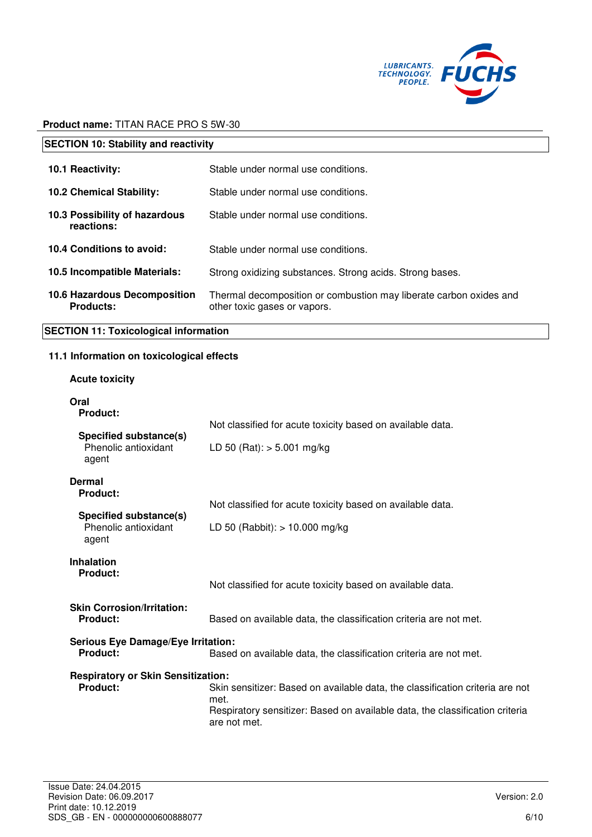

| <b>SECTION 10: Stability and reactivity</b>                  |                                                                                                                                                                                       |  |
|--------------------------------------------------------------|---------------------------------------------------------------------------------------------------------------------------------------------------------------------------------------|--|
| 10.1 Reactivity:                                             | Stable under normal use conditions.                                                                                                                                                   |  |
| 10.2 Chemical Stability:                                     | Stable under normal use conditions.                                                                                                                                                   |  |
| 10.3 Possibility of hazardous<br>reactions:                  | Stable under normal use conditions.                                                                                                                                                   |  |
| 10.4 Conditions to avoid:                                    | Stable under normal use conditions.                                                                                                                                                   |  |
| 10.5 Incompatible Materials:                                 | Strong oxidizing substances. Strong acids. Strong bases.                                                                                                                              |  |
| 10.6 Hazardous Decomposition<br><b>Products:</b>             | Thermal decomposition or combustion may liberate carbon oxides and<br>other toxic gases or vapors.                                                                                    |  |
| <b>SECTION 11: Toxicological information</b>                 |                                                                                                                                                                                       |  |
| 11.1 Information on toxicological effects                    |                                                                                                                                                                                       |  |
| <b>Acute toxicity</b>                                        |                                                                                                                                                                                       |  |
| Oral<br>Product:                                             | Not classified for acute toxicity based on available data.                                                                                                                            |  |
| Specified substance(s)<br>Phenolic antioxidant<br>agent      | LD 50 (Rat): $> 5.001$ mg/kg                                                                                                                                                          |  |
| <b>Dermal</b><br><b>Product:</b>                             |                                                                                                                                                                                       |  |
| <b>Specified substance(s)</b>                                | Not classified for acute toxicity based on available data.                                                                                                                            |  |
| Phenolic antioxidant<br>agent                                | LD 50 (Rabbit): $> 10.000$ mg/kg                                                                                                                                                      |  |
| <b>Inhalation</b><br><b>Product:</b>                         | Not classified for acute toxicity based on available data.                                                                                                                            |  |
| <b>Skin Corrosion/Irritation:</b><br><b>Product:</b>         | Based on available data, the classification criteria are not met.                                                                                                                     |  |
| <b>Serious Eye Damage/Eye Irritation:</b><br><b>Product:</b> | Based on available data, the classification criteria are not met.                                                                                                                     |  |
| <b>Respiratory or Skin Sensitization:</b><br><b>Product:</b> | Skin sensitizer: Based on available data, the classification criteria are not<br>met.<br>Respiratory sensitizer: Based on available data, the classification criteria<br>are not met. |  |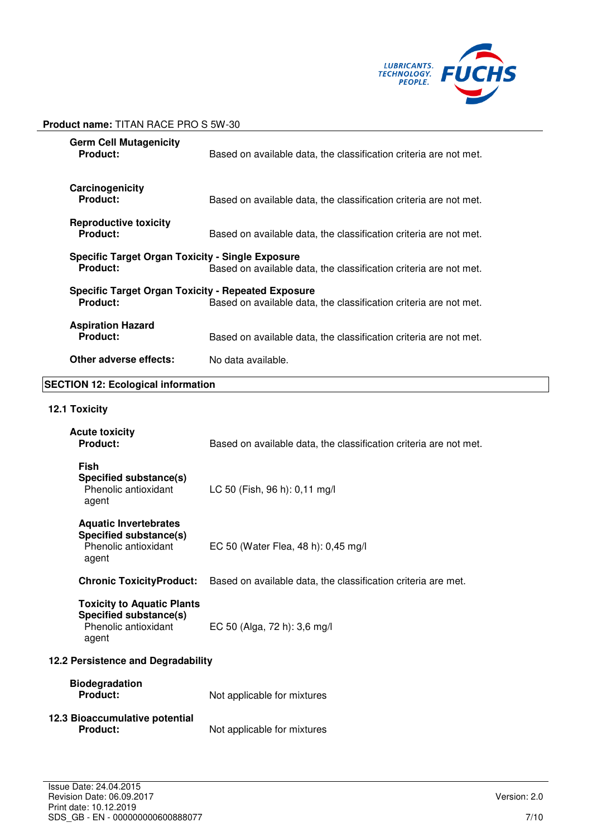

| <b>Germ Cell Mutagenicity</b><br><b>Product:</b>                             | Based on available data, the classification criteria are not met. |
|------------------------------------------------------------------------------|-------------------------------------------------------------------|
| Carcinogenicity<br><b>Product:</b>                                           | Based on available data, the classification criteria are not met. |
| <b>Reproductive toxicity</b><br><b>Product:</b>                              | Based on available data, the classification criteria are not met. |
| Specific Target Organ Toxicity - Single Exposure<br><b>Product:</b>          | Based on available data, the classification criteria are not met. |
| <b>Specific Target Organ Toxicity - Repeated Exposure</b><br><b>Product:</b> | Based on available data, the classification criteria are not met. |
| <b>Aspiration Hazard</b><br>Product:                                         | Based on available data, the classification criteria are not met. |
| Other adverse effects:                                                       | No data available.                                                |

# **SECTION 12: Ecological information**

# **12.1 Toxicity**

| <b>Acute toxicity</b><br><b>Product:</b>                                                     | Based on available data, the classification criteria are not met. |  |  |
|----------------------------------------------------------------------------------------------|-------------------------------------------------------------------|--|--|
| <b>Fish</b><br>Specified substance(s)<br>Phenolic antioxidant<br>agent                       | LC 50 (Fish, 96 h): 0,11 mg/l                                     |  |  |
| <b>Aquatic Invertebrates</b><br>Specified substance(s)<br>Phenolic antioxidant<br>agent      | EC 50 (Water Flea, 48 h): 0,45 mg/l                               |  |  |
| <b>Chronic ToxicityProduct:</b>                                                              | Based on available data, the classification criteria are met.     |  |  |
| <b>Toxicity to Aquatic Plants</b><br>Specified substance(s)<br>Phenolic antioxidant<br>agent | EC 50 (Alga, 72 h): 3,6 mg/l                                      |  |  |
| 12.2 Persistence and Degradability                                                           |                                                                   |  |  |
| <b>Biodegradation</b><br>Product:                                                            | Not applicable for mixtures                                       |  |  |
| 12.3 Bioaccumulative potential<br><b>Product:</b>                                            | Not applicable for mixtures                                       |  |  |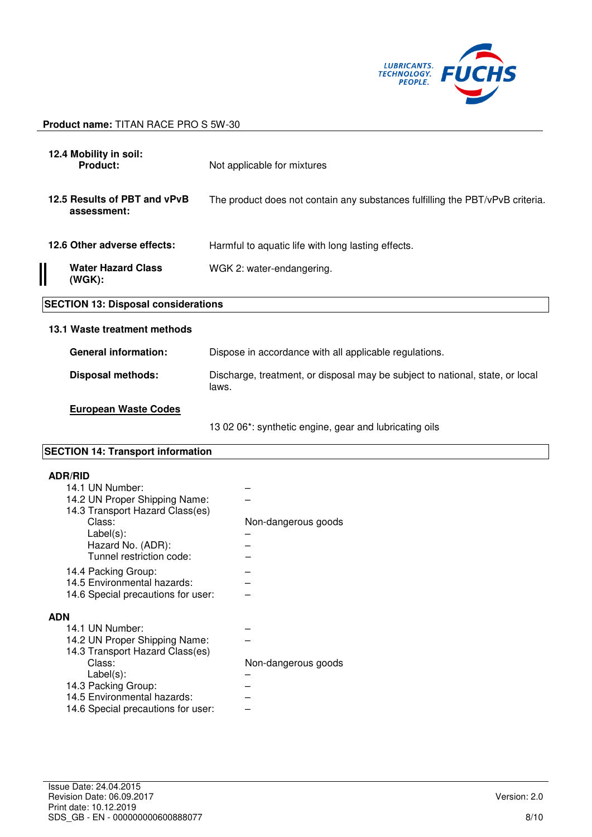

| 12.4 Mobility in soil:<br>Product:                                                                                                                                               | Not applicable for mixtures                                                            |  |  |  |
|----------------------------------------------------------------------------------------------------------------------------------------------------------------------------------|----------------------------------------------------------------------------------------|--|--|--|
|                                                                                                                                                                                  |                                                                                        |  |  |  |
| 12.5 Results of PBT and vPvB<br>assessment:                                                                                                                                      | The product does not contain any substances fulfilling the PBT/vPvB criteria.          |  |  |  |
| 12.6 Other adverse effects:                                                                                                                                                      | Harmful to aquatic life with long lasting effects.                                     |  |  |  |
| <b>Water Hazard Class</b><br>(WGK):                                                                                                                                              | WGK 2: water-endangering.                                                              |  |  |  |
| <b>SECTION 13: Disposal considerations</b>                                                                                                                                       |                                                                                        |  |  |  |
|                                                                                                                                                                                  |                                                                                        |  |  |  |
| 13.1 Waste treatment methods                                                                                                                                                     |                                                                                        |  |  |  |
| <b>General information:</b>                                                                                                                                                      | Dispose in accordance with all applicable regulations.                                 |  |  |  |
| <b>Disposal methods:</b>                                                                                                                                                         | Discharge, treatment, or disposal may be subject to national, state, or local<br>laws. |  |  |  |
| <b>European Waste Codes</b>                                                                                                                                                      |                                                                                        |  |  |  |
|                                                                                                                                                                                  | 13 02 06*: synthetic engine, gear and lubricating oils                                 |  |  |  |
| <b>SECTION 14: Transport information</b>                                                                                                                                         |                                                                                        |  |  |  |
| <b>ADR/RID</b><br>14.1 UN Number:<br>14.2 UN Proper Shipping Name:<br>14.3 Transport Hazard Class(es)<br>Class:<br>$Label(s)$ :<br>Hazard No. (ADR):<br>Tunnel restriction code: | Non-dangerous goods                                                                    |  |  |  |
| 14.4 Packing Group:                                                                                                                                                              |                                                                                        |  |  |  |

# **ADN**

| אכ                                 |                     |
|------------------------------------|---------------------|
| 14.1 UN Number:                    |                     |
| 14.2 UN Proper Shipping Name:      |                     |
| 14.3 Transport Hazard Class(es)    |                     |
| Class:                             | Non-dangerous goods |
| $Label(s)$ :                       |                     |
| 14.3 Packing Group:                |                     |
| 14.5 Environmental hazards:        |                     |
| 14.6 Special precautions for user: |                     |
|                                    |                     |

14.5 Environmental hazards: – 14.6 Special precautions for user: –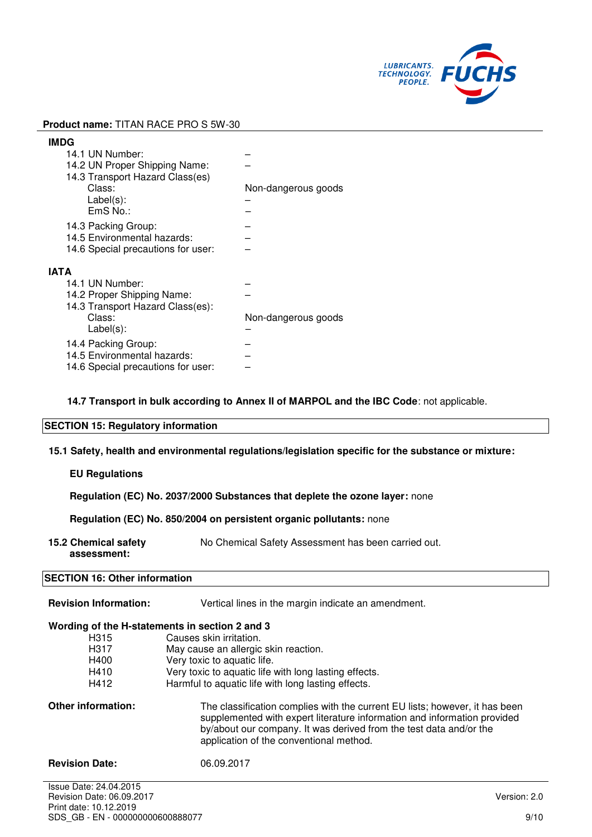

| <b>IMDG</b>                        |                     |
|------------------------------------|---------------------|
| 14.1 UN Number:                    |                     |
| 14.2 UN Proper Shipping Name:      |                     |
| 14.3 Transport Hazard Class(es)    |                     |
| Class:                             | Non-dangerous goods |
| $Label(s)$ :                       |                     |
| EmS No.:                           |                     |
| 14.3 Packing Group:                |                     |
| 14.5 Environmental hazards:        |                     |
|                                    |                     |
| 14.6 Special precautions for user: |                     |
| ΙΑΤΑ                               |                     |
| 14.1 UN Number:                    |                     |
| 14.2 Proper Shipping Name:         |                     |
| 14.3 Transport Hazard Class(es):   |                     |
| Class:                             | Non-dangerous goods |
| $Label(s)$ :                       |                     |
|                                    |                     |
| 14.4 Packing Group:                |                     |
| 14.5 Environmental hazards:        |                     |
| 14.6 Special precautions for user: |                     |

**14.7 Transport in bulk according to Annex II of MARPOL and the IBC Code**: not applicable.

# **SECTION 15: Regulatory information**

**15.1 Safety, health and environmental regulations/legislation specific for the substance or mixture:**

# **EU Regulations**

**Regulation (EC) No. 2037/2000 Substances that deplete the ozone layer:** none

**Regulation (EC) No. 850/2004 on persistent organic pollutants:** none

**15.2 Chemical safety assessment:**  No Chemical Safety Assessment has been carried out.

## **SECTION 16: Other information**

| <b>Revision Information:</b>                   | Vertical lines in the margin indicate an amendment.                                                                                                                                                                                                                      |  |  |  |
|------------------------------------------------|--------------------------------------------------------------------------------------------------------------------------------------------------------------------------------------------------------------------------------------------------------------------------|--|--|--|
| Wording of the H-statements in section 2 and 3 |                                                                                                                                                                                                                                                                          |  |  |  |
| H315                                           | Causes skin irritation.                                                                                                                                                                                                                                                  |  |  |  |
| H317                                           | May cause an allergic skin reaction.                                                                                                                                                                                                                                     |  |  |  |
| H400                                           | Very toxic to aquatic life.                                                                                                                                                                                                                                              |  |  |  |
| H410                                           | Very toxic to aquatic life with long lasting effects.                                                                                                                                                                                                                    |  |  |  |
| H412                                           | Harmful to aquatic life with long lasting effects.                                                                                                                                                                                                                       |  |  |  |
| <b>Other information:</b>                      | The classification complies with the current EU lists; however, it has been<br>supplemented with expert literature information and information provided<br>by/about our company. It was derived from the test data and/or the<br>application of the conventional method. |  |  |  |
| <b>Revision Date:</b>                          | 06.09.2017                                                                                                                                                                                                                                                               |  |  |  |